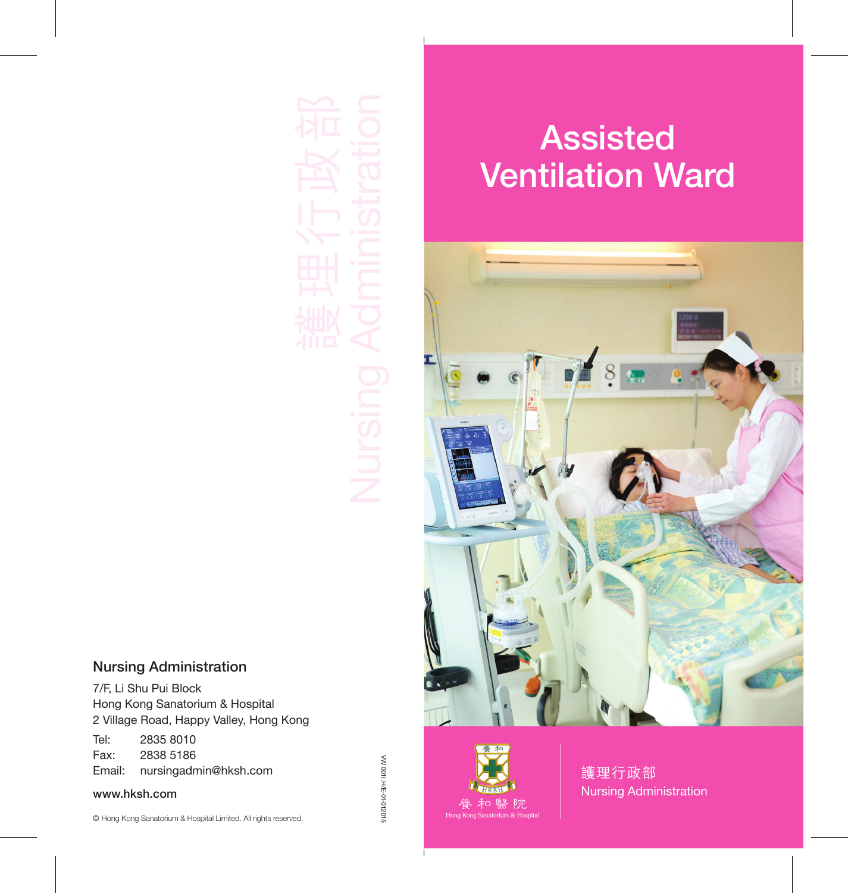# Assisted Ventilation Ward



#### Nursing Administration

7/F, Li Shu Pui Block Hong Kong Sanatorium & Hospital 2 Village Road, Happy Valley, Hong Kong

Tel: 2835 8010 Fax: 2838 5186 Email: nursingadmin@hksh.com

www.hksh.com

W.0011.H/E-01-012015 VW.001I.H/E-01-012015



護理行政部 Nursing Administration